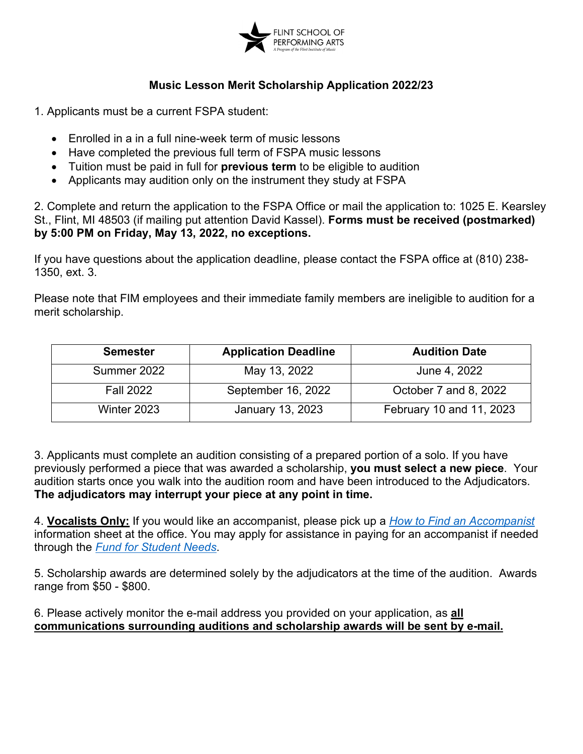

## **Music Lesson Merit Scholarship Application 2022/23**

1. Applicants must be a current FSPA student:

- Enrolled in a in a full nine-week term of music lessons
- Have completed the previous full term of FSPA music lessons
- Tuition must be paid in full for **previous term** to be eligible to audition
- Applicants may audition only on the instrument they study at FSPA

2. Complete and return the application to the FSPA Office or mail the application to: 1025 E. Kearsley St., Flint, MI 48503 (if mailing put attention David Kassel). **Forms must be received (postmarked) by 5:00 PM on Friday, May 13, 2022, no exceptions.**

If you have questions about the application deadline, please contact the FSPA office at (810) 238- 1350, ext. 3.

Please note that FIM employees and their immediate family members are ineligible to audition for a merit scholarship.

| <b>Semester</b>  | <b>Application Deadline</b> | <b>Audition Date</b>     |
|------------------|-----------------------------|--------------------------|
| Summer 2022      | May 13, 2022                | June 4, 2022             |
| <b>Fall 2022</b> | September 16, 2022          | October 7 and 8, 2022    |
| Winter 2023      | January 13, 2023            | February 10 and 11, 2023 |

3. Applicants must complete an audition consisting of a prepared portion of a solo. If you have previously performed a piece that was awarded a scholarship, **you must select a new piece**. Your audition starts once you walk into the audition room and have been introduced to the Adjudicators. **The adjudicators may interrupt your piece at any point in time.**

4. **Vocalists Only:** If you would like an accompanist, please pick up a *[How to Find an Accompanist](https://thefspa.org/files/2021/03/How_to_Find_an_Accompanist_FOR_REVISIONS.pdf)* information sheet at the office. You may apply for assistance in paying for an accompanist if needed through the *[Fund for Student Needs](https://thefspa.org/tuition-assistance/)*.

5. Scholarship awards are determined solely by the adjudicators at the time of the audition. Awards range from \$50 - \$800.

6. Please actively monitor the e-mail address you provided on your application, as **all communications surrounding auditions and scholarship awards will be sent by e-mail.**